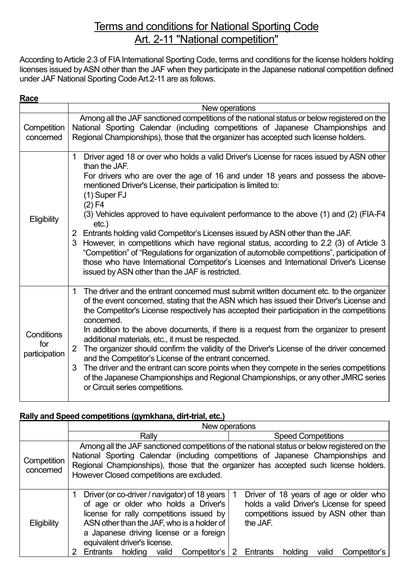# Terms and conditions for National Sporting Code Art. 2-11 "National competition"

According to Article 2.3 of FIA International Sporting Code, terms and conditions for the license holders holding licenses issued by ASN other than the JAF when they participate in the Japanese national competition defined under JAF National Sporting CodeArt.2-11 are as follows.

| Race                               |                                                                                                                                                                                                                                                                                                                                                                                                                                                                                                                                                                                                                                                                                                                                                                                                                                                  |  |  |
|------------------------------------|--------------------------------------------------------------------------------------------------------------------------------------------------------------------------------------------------------------------------------------------------------------------------------------------------------------------------------------------------------------------------------------------------------------------------------------------------------------------------------------------------------------------------------------------------------------------------------------------------------------------------------------------------------------------------------------------------------------------------------------------------------------------------------------------------------------------------------------------------|--|--|
|                                    | New operations                                                                                                                                                                                                                                                                                                                                                                                                                                                                                                                                                                                                                                                                                                                                                                                                                                   |  |  |
| Competition<br>concerned           | Among all the JAF sanctioned competitions of the national status or below registered on the<br>National Sporting Calendar (including competitions of Japanese Championships and<br>Regional Championships), those that the organizer has accepted such license holders.                                                                                                                                                                                                                                                                                                                                                                                                                                                                                                                                                                          |  |  |
| Eligibility                        | Driver aged 18 or over who holds a valid Driver's License for races issued by ASN other<br>$\mathbf{1}$<br>than the JAF.<br>For drivers who are over the age of 16 and under 18 years and possess the above-<br>mentioned Driver's License, their participation is limited to:<br>$(1)$ Super FJ<br>$(2)$ F4<br>(3) Vehicles approved to have equivalent performance to the above (1) and (2) (FIA-F4<br>$etc.$ )<br>2 Entrants holding valid Competitor's Licenses issued by ASN other than the JAF.<br>However, in competitions which have regional status, according to 2.2 (3) of Article 3<br>"Competition" of "Regulations for organization of automobile competitions", participation of<br>those who have International Competitor's Licenses and International Driver's License<br>issued by ASN other than the JAF is restricted.      |  |  |
| Conditions<br>for<br>participation | The driver and the entrant concerned must submit written document etc. to the organizer<br>$\mathbf{1}$<br>of the event concerned, stating that the ASN which has issued their Driver's License and<br>the Competitor's License respectively has accepted their participation in the competitions<br>concerned.<br>In addition to the above documents, if there is a request from the organizer to present<br>additional materials, etc., it must be respected.<br>The organizer should confirm the validity of the Driver's License of the driver concerned<br>and the Competitor's License of the entrant concerned.<br>The driver and the entrant can score points when they compete in the series competitions<br>3<br>of the Japanese Championships and Regional Championships, or any other JMRC series<br>or Circuit series competitions. |  |  |

#### **Rally and Speed competitions (gymkhana, dirt-trial, etc.)**

|                          | New operations                                                                                                                                                                                                                                                                                                         |                                                                                                                                                                                         |  |  |
|--------------------------|------------------------------------------------------------------------------------------------------------------------------------------------------------------------------------------------------------------------------------------------------------------------------------------------------------------------|-----------------------------------------------------------------------------------------------------------------------------------------------------------------------------------------|--|--|
|                          | Rally                                                                                                                                                                                                                                                                                                                  | <b>Speed Competitions</b>                                                                                                                                                               |  |  |
| Competition<br>concerned | Among all the JAF sanctioned competitions of the national status or below registered on the<br>National Sporting Calendar (including competitions of Japanese Championships and<br>Regional Championships), those that the organizer has accepted such license holders.<br>However Closed competitions are excluded.   |                                                                                                                                                                                         |  |  |
| Eligibility              | Driver (or co-driver / navigator) of 18 years<br>of age or older who holds a Driver's<br>license for rally competitions issued by<br>ASN other than the JAF, who is a holder of<br>a Japanese driving license or a foreign<br>equivalent driver's license.<br>holding<br><b>Entrants</b><br>Competitor's<br>2<br>valid | Driver of 18 years of age or older who<br>holds a valid Driver's License for speed<br>competitions issued by ASN other than<br>the JAF.<br>Entrants<br>holding<br>valid<br>Competitor's |  |  |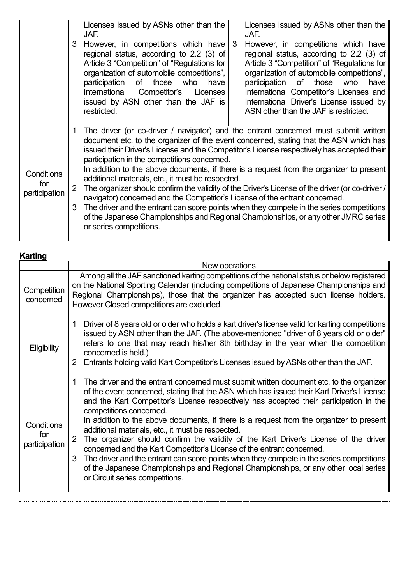|                                    | 3                 | Licenses issued by ASNs other than the<br>JAF.<br>However, in competitions which have<br>regional status, according to 2.2 (3) of<br>Article 3 "Competition" of "Regulations for<br>organization of automobile competitions",<br>participation of<br>those who<br>have<br>International Competitor's<br>Licenses<br>issued by ASN other than the JAF is<br>restricted.                                                                                                                                                                                                                                                                                                                                                                                                                                                                                                    | 3 | Licenses issued by ASNs other than the<br>JAF.<br>However, in competitions which have<br>regional status, according to 2.2 (3) of<br>Article 3 "Competition" of "Regulations for<br>organization of automobile competitions",<br>participation of those who<br>have<br>International Competitor's Licenses and<br>International Driver's License issued by<br>ASN other than the JAF is restricted. |
|------------------------------------|-------------------|---------------------------------------------------------------------------------------------------------------------------------------------------------------------------------------------------------------------------------------------------------------------------------------------------------------------------------------------------------------------------------------------------------------------------------------------------------------------------------------------------------------------------------------------------------------------------------------------------------------------------------------------------------------------------------------------------------------------------------------------------------------------------------------------------------------------------------------------------------------------------|---|-----------------------------------------------------------------------------------------------------------------------------------------------------------------------------------------------------------------------------------------------------------------------------------------------------------------------------------------------------------------------------------------------------|
| Conditions<br>for<br>participation | $\mathbf{2}$<br>3 | The driver (or co-driver / navigator) and the entrant concerned must submit written<br>document etc. to the organizer of the event concerned, stating that the ASN which has<br>issued their Driver's License and the Competitor's License respectively has accepted their<br>participation in the competitions concerned.<br>In addition to the above documents, if there is a request from the organizer to present<br>additional materials, etc., it must be respected.<br>The organizer should confirm the validity of the Driver's License of the driver (or co-driver /<br>navigator) concerned and the Competitor's License of the entrant concerned.<br>The driver and the entrant can score points when they compete in the series competitions<br>of the Japanese Championships and Regional Championships, or any other JMRC series<br>or series competitions. |   |                                                                                                                                                                                                                                                                                                                                                                                                     |

| <b>Karting</b>                     |                                                                                                                                                                                                                                                                                                                                                                                                                                                                                                                                                                                                                                                                                                                                                                                                                                                                 |  |  |  |
|------------------------------------|-----------------------------------------------------------------------------------------------------------------------------------------------------------------------------------------------------------------------------------------------------------------------------------------------------------------------------------------------------------------------------------------------------------------------------------------------------------------------------------------------------------------------------------------------------------------------------------------------------------------------------------------------------------------------------------------------------------------------------------------------------------------------------------------------------------------------------------------------------------------|--|--|--|
|                                    | New operations                                                                                                                                                                                                                                                                                                                                                                                                                                                                                                                                                                                                                                                                                                                                                                                                                                                  |  |  |  |
| Competition<br>concerned           | Among all the JAF sanctioned karting competitions of the national status or below registered<br>on the National Sporting Calendar (including competitions of Japanese Championships and<br>Regional Championships), those that the organizer has accepted such license holders.<br>However Closed competitions are excluded.                                                                                                                                                                                                                                                                                                                                                                                                                                                                                                                                    |  |  |  |
| <b>Eligibility</b>                 | Driver of 8 years old or older who holds a kart driver's license valid for karting competitions<br>1<br>issued by ASN other than the JAF. (The above-mentioned "driver of 8 years old or older"<br>refers to one that may reach his/her 8th birthday in the year when the competition<br>concerned is held.)<br>2 Entrants holding valid Kart Competitor's Licenses issued by ASNs other than the JAF.                                                                                                                                                                                                                                                                                                                                                                                                                                                          |  |  |  |
| Conditions<br>for<br>participation | The driver and the entrant concerned must submit written document etc. to the organizer<br>1<br>of the event concerned, stating that the ASN which has issued their Kart Driver's License<br>and the Kart Competitor's License respectively has accepted their participation in the<br>competitions concerned.<br>In addition to the above documents, if there is a request from the organizer to present<br>additional materials, etc., it must be respected.<br>The organizer should confirm the validity of the Kart Driver's License of the driver<br>2<br>concerned and the Kart Competitor's License of the entrant concerned.<br>The driver and the entrant can score points when they compete in the series competitions<br>3<br>of the Japanese Championships and Regional Championships, or any other local series<br>or Circuit series competitions. |  |  |  |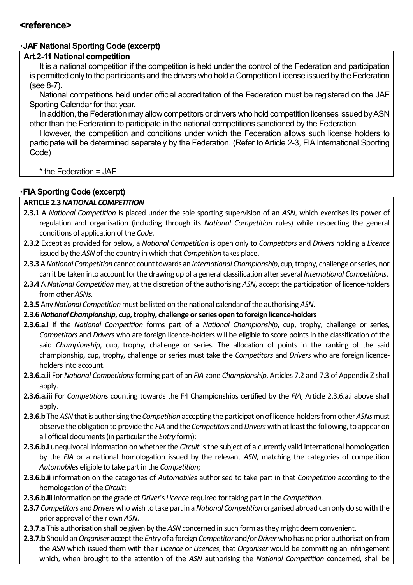### **<reference>**

## ・**JAF National Sporting Code (excerpt)**

### **Art.2-11 National competition**

It is a national competition if the competition is held under the control of the Federation and participation is permitted only to the participants and the drivers who hold a Competition License issued by the Federation (see 8-7).

National competitions held under official accreditation of the Federation must be registered on the JAF Sporting Calendar for that year.

In addition, the Federation may allow competitors or drivers who hold competition licenses issued by ASN other than the Federation to participate in the national competitions sanctioned by the Federation.

However, the competition and conditions under which the Federation allows such license holders to participate will be determined separately by the Federation. (Refer to Article 2-3, FIA International Sporting Code)

 $*$  the Federation = JAF

### ・**FIA Sporting Code (excerpt)**

#### **ARTICLE 2.3** *NATIONAL COMPETITION*

- **2.3.1** A *National Competition* is placed under the sole sporting supervision of an *ASN*, which exercises its power of regulation and organisation (including through its *National Competition* rules) while respecting the general conditions of application of the *Code*.
- **2.3.2** Except as provided for below, a *National Competition* is open only to *Competitors* and *Drivers* holding a *Licence*  issued by the *ASN* of the country in which that *Competition* takes place.
- **2.3.3** A *National Competition* cannot count towards an*International Championship*, cup, trophy, challenge or series,nor can it be taken into account for the drawing up of a general classification after several *International Competitions*.
- **2.3.4** A *National Competition* may, at the discretion of the authorising *ASN*, accept the participation of licence‐holders from other *ASNs*.
- **2.3.5** Any *National Competition* must be listed on the national calendar of the authorising *ASN*.
- **2.3.6** *National Championship***, cup, trophy, challenge orseries open to foreign licence‐holders**
- **2.3.6.a.i** If the *National Competition* forms part of a *National Championship*, cup, trophy, challenge or series, *Competitors* and *Drivers* who are foreign licence‐holders will be eligible to score points in the classification of the said *Championship*, cup, trophy, challenge or series. The allocation of points in the ranking of the said championship, cup, trophy, challenge or series must take the *Competitors* and *Drivers* who are foreign licence‐ holders into account.
- **2.3.6.a.ii** For *National Competitions* forming part of an *FIA* zone *Championship*, Articles 7.2 and 7.3 of Appendix Z shall apply.
- **2.3.6.a.iii** For *Competitions* counting towards the F4 Championships certified by the *FIA*, Article 2.3.6.a.i above shall apply.
- **2.3.6.b** The *ASN* that is authorising the *Competition* accepting the participation of licence‐holders from other *ASNs* must observe the obligation to provide the *FIA* and the *Competitors* and *Drivers* with at least the following, to appear on all official documents (in particular the *Entry* form):
- **2.3.6.b.i** unequivocal information on whether the *Circuit* isthe subject of a currently valid international homologation by the *FIA* or a national homologation issued by the relevant *ASN*, matching the categories of competition *Automobiles* eligible to take part in the *Competition*;
- **2.3.6.b.ii** information on the categories of *Automobiles* authorised to take part in that *Competition* according to the homologation of the *Circuit*;
- **2.3.6.b.iii** information on the grade of *Driver*'s *Licence* required for taking part in the *Competition*.
- **2.3.7** *Competitors* and *Drivers* who wish to take part in a*National Competition* organised abroad can only do so with the prior approval of their own *ASN*.
- **2.3.7.a** This authorisation shall be given by the *ASN* concerned in such form as they might deem convenient.
- **2.3.7.b** Should an *Organiser* accept the *Entry* of a foreign *Competitor* and/or *Driver* who has no prior authorisation from the *ASN* which issued them with their *Licence* or *Licences*, that *Organiser* would be committing an infringement which, when brought to the attention of the *ASN* authorising the *National Competition* concerned, shall be